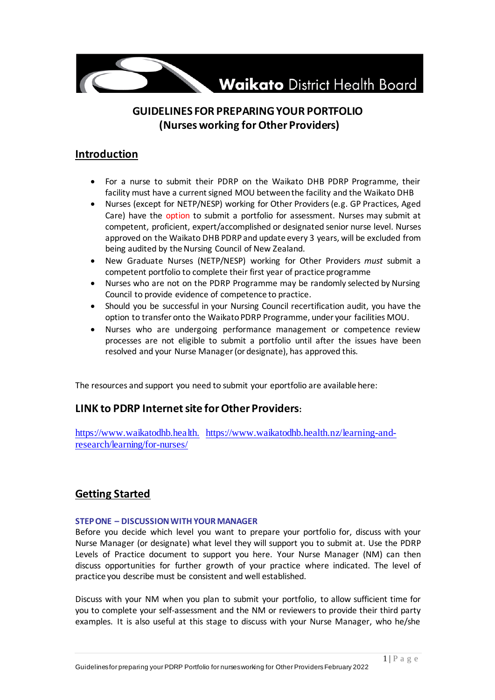

## **GUIDELINES FOR PREPARING YOUR PORTFOLIO (Nurses working for Other Providers)**

## **Introduction**

- For a nurse to submit their PDRP on the Waikato DHB PDRP Programme, their facility must have a current signed MOU between the facility and the Waikato DHB
- Nurses (except for NETP/NESP) working for Other Providers (e.g. GP Practices, Aged Care) have the option to submit a portfolio for assessment. Nurses may submit at competent, proficient, expert/accomplished or designated senior nurse level. Nurses approved on the Waikato DHB PDRP and update every 3 years, will be excluded from being audited by the Nursing Council of New Zealand.
- New Graduate Nurses (NETP/NESP) working for Other Providers *must* submit a competent portfolio to complete their first year of practice programme
- Nurses who are not on the PDRP Programme may be randomly selected by Nursing Council to provide evidence of competence to practice.
- Should you be successful in your Nursing Council recertification audit, you have the option to transfer onto the Waikato PDRP Programme, under your facilities MOU.
- Nurses who are undergoing performance management or competence review processes are not eligible to submit a portfolio until after the issues have been resolved and your Nurse Manager(or designate), has approved this.

The resources and support you need to submit your eportfolio are available here:

### **LINK to PDRP Internet site for Other Providers:**

https://www.waikatodhb.health. [https://www.waikatodhb.health.nz/learning-and](https://www.waikatodhb.health.nz/learning-and-research/learning/for-nurses/)[research/learning/for-nurses/](https://www.waikatodhb.health.nz/learning-and-research/learning/for-nurses/)

## **Getting Started**

### **STEP ONE – DISCUSSION WITH YOUR MANAGER**

Before you decide which level you want to prepare your portfolio for, discuss with your Nurse Manager (or designate) what level they will support you to submit at. Use the PDRP Levels of Practice document to support you here. Your Nurse Manager (NM) can then discuss opportunities for further growth of your practice where indicated. The level of practice you describe must be consistent and well established.

Discuss with your NM when you plan to submit your portfolio, to allow sufficient time for you to complete your self-assessment and the NM or reviewers to provide their third party examples. It is also useful at this stage to discuss with your Nurse Manager, who he/she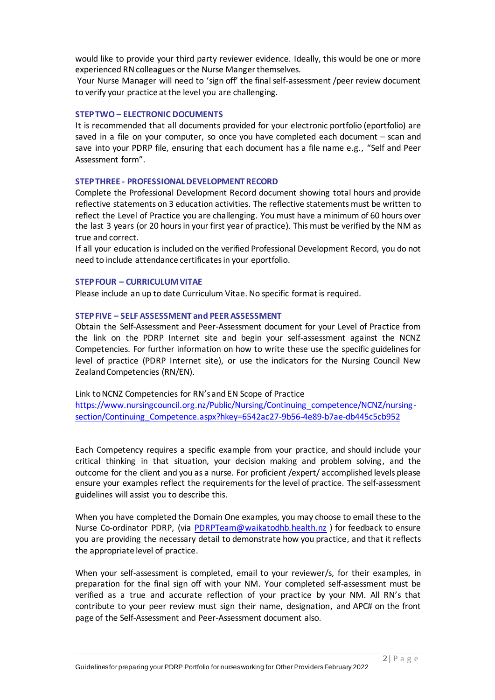would like to provide your third party reviewer evidence. Ideally, this would be one or more experienced RN colleagues or the Nurse Manger themselves.

Your Nurse Manager will need to 'sign off' the final self-assessment /peer review document to verify your practice at the level you are challenging.

#### **STEP TWO – ELECTRONIC DOCUMENTS**

It is recommended that all documents provided for your electronic portfolio (eportfolio) are saved in a file on your computer, so once you have completed each document – scan and save into your PDRP file, ensuring that each document has a file name e.g., "Self and Peer Assessment form".

#### **STEP THREE - PROFESSIONAL DEVELOPMENT RECORD**

Complete the Professional Development Record document showing total hours and provide reflective statements on 3 education activities. The reflective statements must be written to reflect the Level of Practice you are challenging. You must have a minimum of 60 hours over the last 3 years (or 20 hours in your first year of practice). This must be verified by the NM as true and correct.

If all your education is included on the verified Professional Development Record, you do not need to include attendance certificatesin your eportfolio.

#### **STEP FOUR – CURRICULUM VITAE**

Please include an up to date Curriculum Vitae. No specific format is required.

#### **STEP FIVE – SELF ASSESSMENT and PEER ASSESSMENT**

Obtain the Self-Assessment and Peer-Assessment document for your Level of Practice from the link on the PDRP Internet site and begin your self-assessment against the NCNZ Competencies. For further information on how to write these use the specific guidelinesfor level of practice (PDRP Internet site), or use the indicators for the Nursing Council New Zealand Competencies (RN/EN).

Link to NCNZ Competencies for RN's and EN Scope of Practice [https://www.nursingcouncil.org.nz/Public/Nursing/Continuing\\_competence/NCNZ/nursing](https://www.nursingcouncil.org.nz/Public/Nursing/Continuing_competence/NCNZ/nursing-section/Continuing_Competence.aspx?hkey=6542ac27-9b56-4e89-b7ae-db445c5cb952)[section/Continuing\\_Competence.aspx?hkey=6542ac27-9b56-4e89-b7ae-db445c5cb952](https://www.nursingcouncil.org.nz/Public/Nursing/Continuing_competence/NCNZ/nursing-section/Continuing_Competence.aspx?hkey=6542ac27-9b56-4e89-b7ae-db445c5cb952)

Each Competency requires a specific example from your practice, and should include your critical thinking in that situation, your decision making and problem solving, and the outcome for the client and you as a nurse. For proficient /expert/ accomplished levels please ensure your examples reflect the requirements for the level of practice. The self-assessment guidelines will assist you to describe this.

When you have completed the Domain One examples, you may choose to email these to the Nurse Co-ordinator PDRP, (via [PDRPTeam@waikatodhb.health.nz](mailto:PDRPTeam@waikatodhb.health.nz)) for feedback to ensure you are providing the necessary detail to demonstrate how you practice, and that it reflects the appropriate level of practice.

When your self-assessment is completed, email to your reviewer/s, for their examples, in preparation for the final sign off with your NM. Your completed self-assessment must be verified as a true and accurate reflection of your practice by your NM. All RN's that contribute to your peer review must sign their name, designation, and APC# on the front page of the Self-Assessment and Peer-Assessment document also.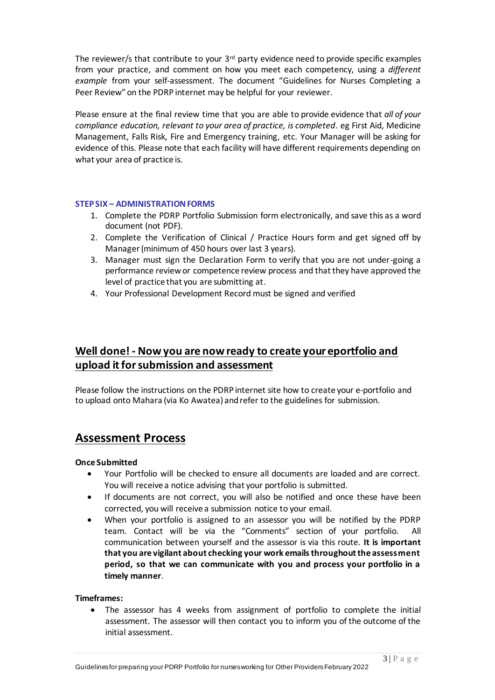The reviewer/s that contribute to your  $3<sup>rd</sup>$  party evidence need to provide specific examples from your practice, and comment on how you meet each competency, using a *different example* from your self-assessment. The document "Guidelines for Nurses Completing a Peer Review" on the PDRP internet may be helpful for your reviewer.

Please ensure at the final review time that you are able to provide evidence that *all of your compliance education, relevant to your area of practice, is completed*. eg First Aid, Medicine Management, Falls Risk, Fire and Emergency training, etc. Your Manager will be asking for evidence of this. Please note that each facility will have different requirements depending on what your area of practice is.

### **STEP SIX – ADMINISTRATION FORMS**

- 1. Complete the PDRP Portfolio Submission form electronically, and save this as a word document (not PDF).
- 2. Complete the Verification of Clinical / Practice Hours form and get signed off by Manager (minimum of 450 hours over last 3 years).
- 3. Manager must sign the Declaration Form to verify that you are not under-going a performance review or competence review process and that they have approved the level of practice that you are submitting at.
- 4. Your Professional Development Record must be signed and verified

## **Well done! - Now you are now ready to create your eportfolio and upload it forsubmission and assessment**

Please follow the instructions on the PDRP internet site how to create your e-portfolio and to upload onto Mahara (via Ko Awatea) and refer to the guidelines for submission.

# **Assessment Process**

#### **Once Submitted**

- Your Portfolio will be checked to ensure all documents are loaded and are correct. You will receive a notice advising that your portfolio is submitted.
- If documents are not correct, you will also be notified and once these have been corrected, you will receive a submission notice to your email.
- When your portfolio is assigned to an assessor you will be notified by the PDRP team. Contact will be via the "Comments" section of your portfolio. All communication between yourself and the assessor is via this route. **It is important that you are vigilant about checking your work emails throughout the assessment period, so that we can communicate with you and process your portfolio in a timely manner**.

#### **Timeframes:**

 The assessor has 4 weeks from assignment of portfolio to complete the initial assessment. The assessor will then contact you to inform you of the outcome of the initial assessment.